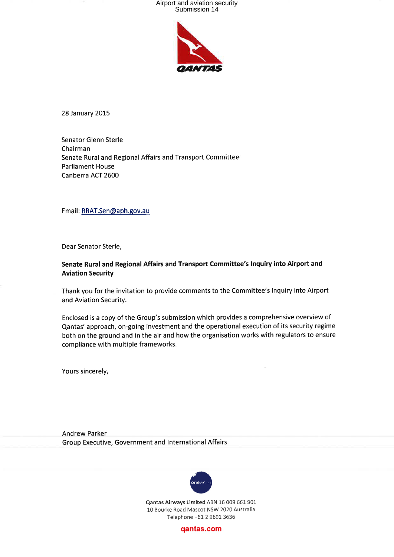

28 January 2015

Senator Glenn Sterle Chairman Senate Rural and Regional Affairs and Transport Committee **Parliament House** Canberra ACT 2600

Email: RRAT.Sen@aph.gov.au

Dear Senator Sterle,

#### Senate Rural and Regional Affairs and Transport Committee's Inquiry into Airport and **Aviation Security**

Thank you for the invitation to provide comments to the Committee's Inquiry into Airport and Aviation Security.

Enclosed is a copy of the Group's submission which provides a comprehensive overview of Qantas' approach, on-going investment and the operational execution of its security regime both on the ground and in the air and how the organisation works with regulators to ensure compliance with multiple frameworks.

Yours sincerely,

**Andrew Parker** Group Executive, Government and International Affairs



Qantas Airways Limited ABN 16 009 661 901 10 Bourke Road Mascot NSW 2020 Australia Telephone +61 2 9691 3636

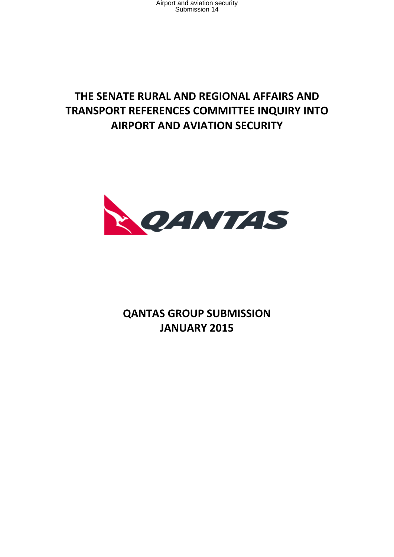## **THE SENATE RURAL AND REGIONAL AFFAIRS AND TRANSPORT REFERENCES COMMITTEE INQUIRY INTO AIRPORT AND AVIATION SECURITY**



**QANTAS GROUP SUBMISSION JANUARY 2015**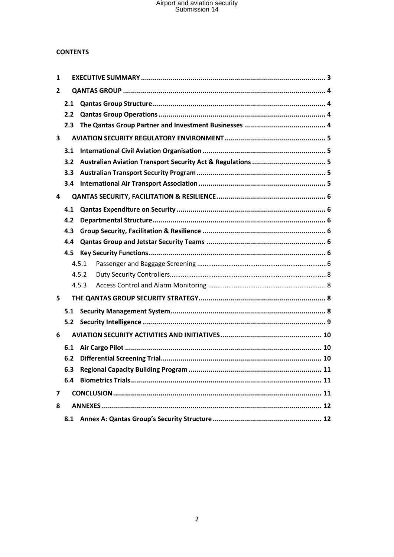#### **CONTENTS**

| 1              |     |       |  |  |
|----------------|-----|-------|--|--|
| 2              |     |       |  |  |
|                | 2.1 |       |  |  |
|                | 2.2 |       |  |  |
|                | 2.3 |       |  |  |
| 3              |     |       |  |  |
|                | 3.1 |       |  |  |
|                | 3.2 |       |  |  |
|                | 3.3 |       |  |  |
|                | 3.4 |       |  |  |
| 4              |     |       |  |  |
|                | 4.1 |       |  |  |
|                | 4.2 |       |  |  |
|                | 4.3 |       |  |  |
|                | 4.4 |       |  |  |
|                | 4.5 |       |  |  |
|                |     | 4.5.1 |  |  |
|                |     | 4.5.2 |  |  |
|                |     | 4.5.3 |  |  |
| 5              |     |       |  |  |
| 5.1            |     |       |  |  |
|                | 5.2 |       |  |  |
| 6              |     |       |  |  |
|                | 6.1 |       |  |  |
|                | 6.2 |       |  |  |
|                | 6.3 | .11   |  |  |
|                | 6.4 |       |  |  |
| $\overline{7}$ |     |       |  |  |
| 8              |     |       |  |  |
|                | 8.1 |       |  |  |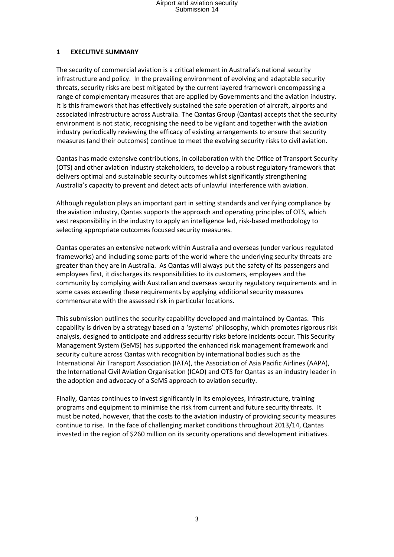#### **1 EXECUTIVE SUMMARY**

The security of commercial aviation is a critical element in Australia's national security infrastructure and policy. In the prevailing environment of evolving and adaptable security threats, security risks are best mitigated by the current layered framework encompassing a range of complementary measures that are applied by Governments and the aviation industry. It is this framework that has effectively sustained the safe operation of aircraft, airports and associated infrastructure across Australia. The Qantas Group (Qantas) accepts that the security environment is not static, recognising the need to be vigilant and together with the aviation industry periodically reviewing the efficacy of existing arrangements to ensure that security measures (and their outcomes) continue to meet the evolving security risks to civil aviation.

Qantas has made extensive contributions, in collaboration with the Office of Transport Security (OTS) and other aviation industry stakeholders, to develop a robust regulatory framework that delivers optimal and sustainable security outcomes whilst significantly strengthening Australia's capacity to prevent and detect acts of unlawful interference with aviation.

Although regulation plays an important part in setting standards and verifying compliance by the aviation industry, Qantas supports the approach and operating principles of OTS, which vest responsibility in the industry to apply an intelligence led, risk-based methodology to selecting appropriate outcomes focused security measures.

Qantas operates an extensive network within Australia and overseas (under various regulated frameworks) and including some parts of the world where the underlying security threats are greater than they are in Australia. As Qantas will always put the safety of its passengers and employees first, it discharges its responsibilities to its customers, employees and the community by complying with Australian and overseas security regulatory requirements and in some cases exceeding these requirements by applying additional security measures commensurate with the assessed risk in particular locations.

This submission outlines the security capability developed and maintained by Qantas. This capability is driven by a strategy based on a 'systems' philosophy, which promotes rigorous risk analysis, designed to anticipate and address security risks before incidents occur. This Security Management System (SeMS) has supported the enhanced risk management framework and security culture across Qantas with recognition by international bodies such as the International Air Transport Association (IATA), the Association of Asia Pacific Airlines (AAPA), the International Civil Aviation Organisation (ICAO) and OTS for Qantas as an industry leader in the adoption and advocacy of a SeMS approach to aviation security.

Finally, Qantas continues to invest significantly in its employees, infrastructure, training programs and equipment to minimise the risk from current and future security threats. It must be noted, however, that the costs to the aviation industry of providing security measures continue to rise. In the face of challenging market conditions throughout 2013/14, Qantas invested in the region of \$260 million on its security operations and development initiatives.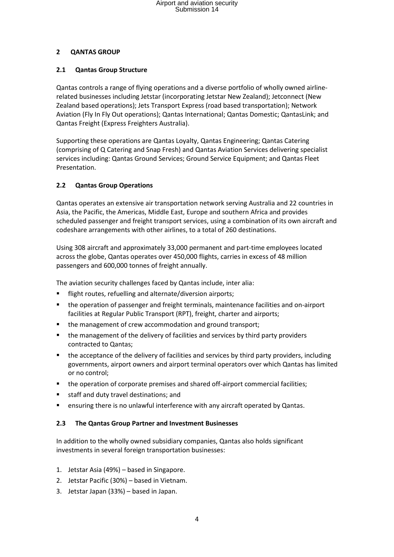#### **2 QANTAS GROUP**

#### **2.1 Qantas Group Structure**

Qantas controls a range of flying operations and a diverse portfolio of wholly owned airlinerelated businesses including Jetstar (incorporating Jetstar New Zealand); Jetconnect (New Zealand based operations); Jets Transport Express (road based transportation); Network Aviation (Fly In Fly Out operations); Qantas International; Qantas Domestic; QantasLink; and Qantas Freight (Express Freighters Australia).

Supporting these operations are Qantas Loyalty, Qantas Engineering; Qantas Catering (comprising of Q Catering and Snap Fresh) and Qantas Aviation Services delivering specialist services including: Qantas Ground Services; Ground Service Equipment; and Qantas Fleet Presentation.

### **2.2 Qantas Group Operations**

Qantas operates an extensive air transportation network serving Australia and 22 countries in Asia, the Pacific, the Americas, Middle East, Europe and southern Africa and provides scheduled passenger and freight transport services, using a combination of its own aircraft and codeshare arrangements with other airlines, to a total of 260 destinations.

Using 308 aircraft and approximately 33,000 permanent and part-time employees located across the globe, Qantas operates over 450,000 flights, carries in excess of 48 million passengers and 600,000 tonnes of freight annually.

The aviation security challenges faced by Qantas include, inter alia:

- flight routes, refuelling and alternate/diversion airports;
- the operation of passenger and freight terminals, maintenance facilities and on-airport facilities at Regular Public Transport (RPT), freight, charter and airports;
- the management of crew accommodation and ground transport;
- the management of the delivery of facilities and services by third party providers contracted to Qantas;
- the acceptance of the delivery of facilities and services by third party providers, including governments, airport owners and airport terminal operators over which Qantas has limited or no control;
- the operation of corporate premises and shared off-airport commercial facilities;
- **staff and duty travel destinations; and**
- ensuring there is no unlawful interference with any aircraft operated by Qantas.

### **2.3 The Qantas Group Partner and Investment Businesses**

In addition to the wholly owned subsidiary companies, Qantas also holds significant investments in several foreign transportation businesses:

- 1. Jetstar Asia (49%) based in Singapore.
- 2. Jetstar Pacific (30%) based in Vietnam.
- 3. Jetstar Japan (33%) based in Japan.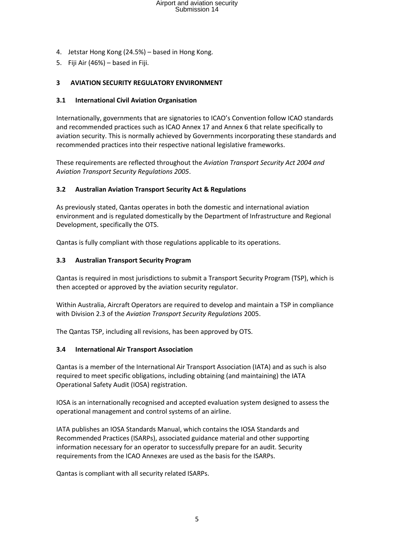- 4. Jetstar Hong Kong (24.5%) based in Hong Kong.
- 5. Fiji Air (46%) based in Fiji.

#### **3 AVIATION SECURITY REGULATORY ENVIRONMENT**

#### **3.1 International Civil Aviation Organisation**

Internationally, governments that are signatories to ICAO's Convention follow ICAO standards and recommended practices such as ICAO Annex 17 and Annex 6 that relate specifically to aviation security. This is normally achieved by Governments incorporating these standards and recommended practices into their respective national legislative frameworks.

These requirements are reflected throughout the *Aviation Transport Security Act 2004 and Aviation Transport Security Regulations 2005*.

#### **3.2 Australian Aviation Transport Security Act & Regulations**

As previously stated, Qantas operates in both the domestic and international aviation environment and is regulated domestically by the Department of Infrastructure and Regional Development, specifically the OTS.

Qantas is fully compliant with those regulations applicable to its operations.

#### **3.3 Australian Transport Security Program**

Qantas is required in most jurisdictions to submit a Transport Security Program (TSP), which is then accepted or approved by the aviation security regulator.

Within Australia, Aircraft Operators are required to develop and maintain a TSP in compliance with Division 2.3 of the *Aviation Transport Security Regulations* 2005.

The Qantas TSP, including all revisions, has been approved by OTS.

#### **3.4 International Air Transport Association**

Qantas is a member of the International Air Transport Association (IATA) and as such is also required to meet specific obligations, including obtaining (and maintaining) the IATA Operational Safety Audit (IOSA) registration.

IOSA is an internationally recognised and accepted evaluation system designed to assess the operational management and control systems of an airline.

IATA publishes an IOSA Standards Manual, which contains the IOSA Standards and Recommended Practices (ISARPs), associated guidance material and other supporting information necessary for an operator to successfully prepare for an audit. Security requirements from the ICAO Annexes are used as the basis for the ISARPs.

Qantas is compliant with all security related ISARPs.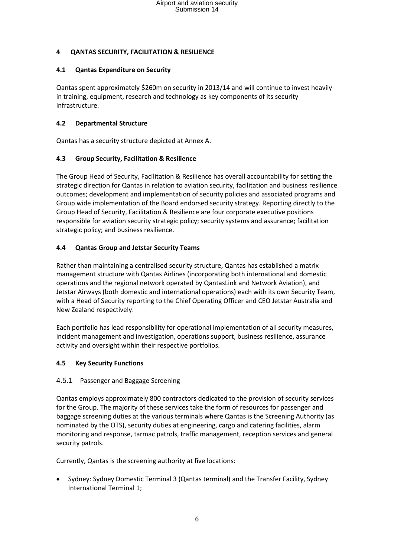#### **4 QANTAS SECURITY, FACILITATION & RESILIENCE**

#### **4.1 Qantas Expenditure on Security**

Qantas spent approximately \$260m on security in 2013/14 and will continue to invest heavily in training, equipment, research and technology as key components of its security infrastructure.

#### **4.2 Departmental Structure**

Qantas has a security structure depicted at Annex A.

#### **4.3 Group Security, Facilitation & Resilience**

The Group Head of Security, Facilitation & Resilience has overall accountability for setting the strategic direction for Qantas in relation to aviation security, facilitation and business resilience outcomes; development and implementation of security policies and associated programs and Group wide implementation of the Board endorsed security strategy. Reporting directly to the Group Head of Security, Facilitation & Resilience are four corporate executive positions responsible for aviation security strategic policy; security systems and assurance; facilitation strategic policy; and business resilience.

#### **4.4 Qantas Group and Jetstar Security Teams**

Rather than maintaining a centralised security structure, Qantas has established a matrix management structure with Qantas Airlines (incorporating both international and domestic operations and the regional network operated by QantasLink and Network Aviation), and Jetstar Airways (both domestic and international operations) each with its own Security Team, with a Head of Security reporting to the Chief Operating Officer and CEO Jetstar Australia and New Zealand respectively.

Each portfolio has lead responsibility for operational implementation of all security measures, incident management and investigation, operations support, business resilience, assurance activity and oversight within their respective portfolios.

#### **4.5 Key Security Functions**

#### 4.5.1 Passenger and Baggage Screening

Qantas employs approximately 800 contractors dedicated to the provision of security services for the Group. The majority of these services take the form of resources for passenger and baggage screening duties at the various terminals where Qantas is the Screening Authority (as nominated by the OTS), security duties at engineering, cargo and catering facilities, alarm monitoring and response, tarmac patrols, traffic management, reception services and general security patrols.

Currently, Qantas is the screening authority at five locations:

 Sydney: Sydney Domestic Terminal 3 (Qantas terminal) and the Transfer Facility, Sydney International Terminal 1;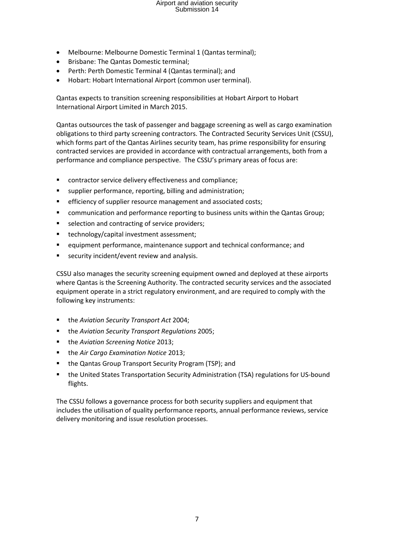- Melbourne: Melbourne Domestic Terminal 1 (Qantas terminal);
- Brisbane: The Qantas Domestic terminal;
- Perth: Perth Domestic Terminal 4 (Qantas terminal); and
- Hobart: Hobart International Airport (common user terminal).

Qantas expects to transition screening responsibilities at Hobart Airport to Hobart International Airport Limited in March 2015.

Qantas outsources the task of passenger and baggage screening as well as cargo examination obligations to third party screening contractors. The Contracted Security Services Unit (CSSU), which forms part of the Qantas Airlines security team, has prime responsibility for ensuring contracted services are provided in accordance with contractual arrangements, both from a performance and compliance perspective. The CSSU's primary areas of focus are:

- **EXECO relation** contractor service delivery effectiveness and compliance;
- supplier performance, reporting, billing and administration;
- **EXECTERFIFE EXECTER FIGGO** efficiency of supplier resource management and associated costs;
- **EXEDENT** communication and performance reporting to business units within the Qantas Group;
- selection and contracting of service providers;
- technology/capital investment assessment;
- equipment performance, maintenance support and technical conformance; and
- security incident/event review and analysis.

CSSU also manages the security screening equipment owned and deployed at these airports where Qantas is the Screening Authority. The contracted security services and the associated equipment operate in a strict regulatory environment, and are required to comply with the following key instruments:

- the *Aviation Security Transport Act* 2004;
- the *Aviation Security Transport Regulations* 2005;
- the *Aviation Screening Notice* 2013;
- the *Air Cargo Examination Notice* 2013;
- the Qantas Group Transport Security Program (TSP); and
- the United States Transportation Security Administration (TSA) regulations for US-bound flights.

The CSSU follows a governance process for both security suppliers and equipment that includes the utilisation of quality performance reports, annual performance reviews, service delivery monitoring and issue resolution processes.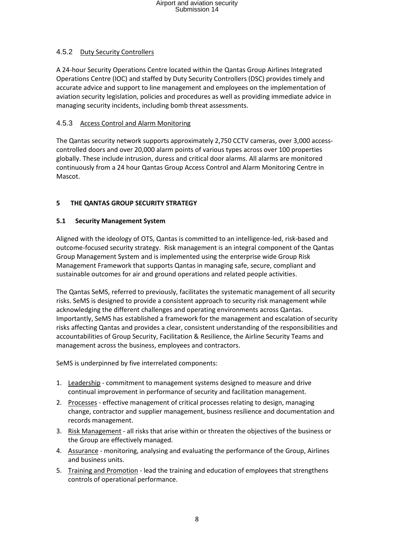#### 4.5.2 Duty Security Controllers

A 24-hour Security Operations Centre located within the Qantas Group Airlines Integrated Operations Centre (IOC) and staffed by Duty Security Controllers (DSC) provides timely and accurate advice and support to line management and employees on the implementation of aviation security legislation, policies and procedures as well as providing immediate advice in managing security incidents, including bomb threat assessments.

#### 4.5.3 Access Control and Alarm Monitoring

The Qantas security network supports approximately 2,750 CCTV cameras, over 3,000 accesscontrolled doors and over 20,000 alarm points of various types across over 100 properties globally. These include intrusion, duress and critical door alarms. All alarms are monitored continuously from a 24 hour Qantas Group Access Control and Alarm Monitoring Centre in Mascot.

#### **5 THE QANTAS GROUP SECURITY STRATEGY**

#### **5.1 Security Management System**

Aligned with the ideology of OTS, Qantas is committed to an intelligence-led, risk-based and outcome-focused security strategy. Risk management is an integral component of the Qantas Group Management System and is implemented using the enterprise wide Group Risk Management Framework that supports Qantas in managing safe, secure, compliant and sustainable outcomes for air and ground operations and related people activities.

The Qantas SeMS, referred to previously, facilitates the systematic management of all security risks. SeMS is designed to provide a consistent approach to security risk management while acknowledging the different challenges and operating environments across Qantas. Importantly, SeMS has established a framework for the management and escalation of security risks affecting Qantas and provides a clear, consistent understanding of the responsibilities and accountabilities of Group Security, Facilitation & Resilience, the Airline Security Teams and management across the business, employees and contractors.

SeMS is underpinned by five interrelated components:

- 1. Leadership commitment to management systems designed to measure and drive continual improvement in performance of security and facilitation management.
- 2. Processes effective management of critical processes relating to design, managing change, contractor and supplier management, business resilience and documentation and records management.
- 3. Risk Management all risks that arise within or threaten the objectives of the business or the Group are effectively managed.
- 4. Assurance monitoring, analysing and evaluating the performance of the Group, Airlines and business units.
- 5. Training and Promotion lead the training and education of employees that strengthens controls of operational performance.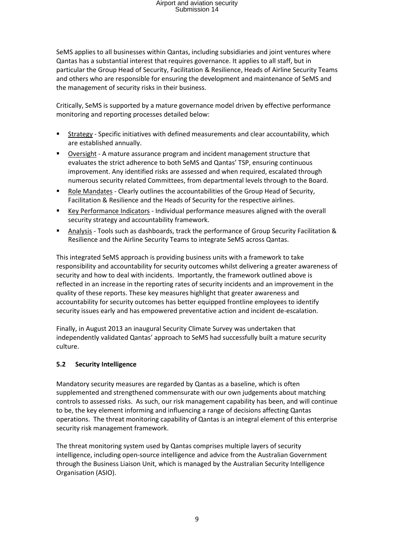SeMS applies to all businesses within Qantas, including subsidiaries and joint ventures where Qantas has a substantial interest that requires governance. It applies to all staff, but in particular the Group Head of Security, Facilitation & Resilience, Heads of Airline Security Teams and others who are responsible for ensuring the development and maintenance of SeMS and the management of security risks in their business.

Critically, SeMS is supported by a mature governance model driven by effective performance monitoring and reporting processes detailed below:

- Strategy Specific initiatives with defined measurements and clear accountability, which are established annually.
- Oversight A mature assurance program and incident management structure that evaluates the strict adherence to both SeMS and Qantas' TSP, ensuring continuous improvement. Any identified risks are assessed and when required, escalated through numerous security related Committees, from departmental levels through to the Board.
- Role Mandates Clearly outlines the accountabilities of the Group Head of Security, Facilitation & Resilience and the Heads of Security for the respective airlines.
- Key Performance Indicators Individual performance measures aligned with the overall security strategy and accountability framework.
- Analysis Tools such as dashboards, track the performance of Group Security Facilitation & Resilience and the Airline Security Teams to integrate SeMS across Qantas.

This integrated SeMS approach is providing business units with a framework to take responsibility and accountability for security outcomes whilst delivering a greater awareness of security and how to deal with incidents. Importantly, the framework outlined above is reflected in an increase in the reporting rates of security incidents and an improvement in the quality of these reports. These key measures highlight that greater awareness and accountability for security outcomes has better equipped frontline employees to identify security issues early and has empowered preventative action and incident de-escalation.

Finally, in August 2013 an inaugural Security Climate Survey was undertaken that independently validated Qantas' approach to SeMS had successfully built a mature security culture.

### **5.2 Security Intelligence**

Mandatory security measures are regarded by Qantas as a baseline, which is often supplemented and strengthened commensurate with our own judgements about matching controls to assessed risks. As such, our risk management capability has been, and will continue to be, the key element informing and influencing a range of decisions affecting Qantas operations. The threat monitoring capability of Qantas is an integral element of this enterprise security risk management framework.

The threat monitoring system used by Qantas comprises multiple layers of security intelligence, including open-source intelligence and advice from the Australian Government through the Business Liaison Unit, which is managed by the Australian Security Intelligence Organisation (ASIO).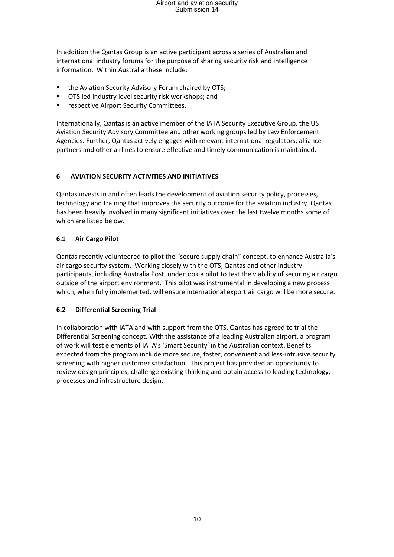In addition the Qantas Group is an active participant across a series of Australian and international industry forums for the purpose of sharing security risk and intelligence information. Within Australia these include:

- the Aviation Security Advisory Forum chaired by OTS;
- OTS led industry level security risk workshops; and
- respective Airport Security Committees.

Internationally, Qantas is an active member of the IATA Security Executive Group, the US Aviation Security Advisory Committee and other working groups led by Law Enforcement Agencies. Further, Qantas actively engages with relevant international regulators, alliance partners and other airlines to ensure effective and timely communication is maintained.

#### **6 AVIATION SECURITY ACTIVITIES AND INITIATIVES**

Qantas invests in and often leads the development of aviation security policy, processes, technology and training that improves the security outcome for the aviation industry. Qantas has been heavily involved in many significant initiatives over the last twelve months some of which are listed below.

#### **6.1 Air Cargo Pilot**

Qantas recently volunteered to pilot the "secure supply chain" concept, to enhance Australia's air cargo security system. Working closely with the OTS, Qantas and other industry participants, including Australia Post, undertook a pilot to test the viability of securing air cargo outside of the airport environment. This pilot was instrumental in developing a new process which, when fully implemented, will ensure international export air cargo will be more secure.

#### **6.2 Differential Screening Trial**

In collaboration with IATA and with support from the OTS, Qantas has agreed to trial the Differential Screening concept. With the assistance of a leading Australian airport, a program of work will test elements of IATA's 'Smart Security' in the Australian context. Benefits expected from the program include more secure, faster, convenient and less-intrusive security screening with higher customer satisfaction. This project has provided an opportunity to review design principles, challenge existing thinking and obtain access to leading technology, processes and infrastructure design.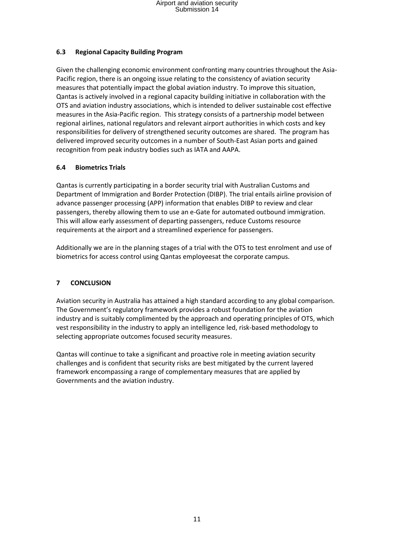#### **6.3 Regional Capacity Building Program**

Given the challenging economic environment confronting many countries throughout the Asia-Pacific region, there is an ongoing issue relating to the consistency of aviation security measures that potentially impact the global aviation industry. To improve this situation, Qantas is actively involved in a regional capacity building initiative in collaboration with the OTS and aviation industry associations, which is intended to deliver sustainable cost effective measures in the Asia-Pacific region. This strategy consists of a partnership model between regional airlines, national regulators and relevant airport authorities in which costs and key responsibilities for delivery of strengthened security outcomes are shared. The program has delivered improved security outcomes in a number of South-East Asian ports and gained recognition from peak industry bodies such as IATA and AAPA.

#### **6.4 Biometrics Trials**

Qantas is currently participating in a border security trial with Australian Customs and Department of Immigration and Border Protection (DIBP). The trial entails airline provision of advance passenger processing (APP) information that enables DIBP to review and clear passengers, thereby allowing them to use an e-Gate for automated outbound immigration. This will allow early assessment of departing passengers, reduce Customs resource requirements at the airport and a streamlined experience for passengers.

Additionally we are in the planning stages of a trial with the OTS to test enrolment and use of biometrics for access control using Qantas employeesat the corporate campus.

#### **7 CONCLUSION**

Aviation security in Australia has attained a high standard according to any global comparison. The Government's regulatory framework provides a robust foundation for the aviation industry and is suitably complimented by the approach and operating principles of OTS, which vest responsibility in the industry to apply an intelligence led, risk-based methodology to selecting appropriate outcomes focused security measures.

Qantas will continue to take a significant and proactive role in meeting aviation security challenges and is confident that security risks are best mitigated by the current layered framework encompassing a range of complementary measures that are applied by Governments and the aviation industry.